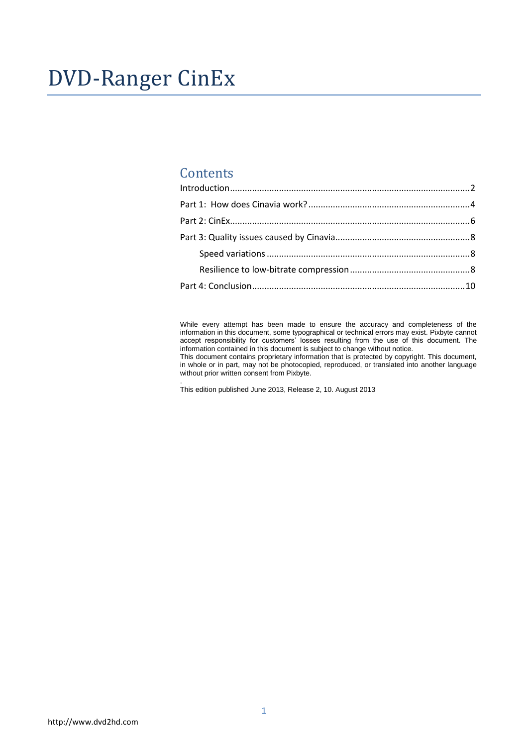# DVD-Ranger CinEx

# **Contents**

While every attempt has been made to ensure the accuracy and completeness of the information in this document, some typographical or technical errors may exist. Pixbyte cannot accept responsibility for customers' losses resulting from the use of this document. The information contained in this document is subject to change without notice.

This document contains proprietary information that is protected by copyright. This document, in whole or in part, may not be photocopied, reproduced, or translated into another language without prior written consent from Pixbyte.

. This edition published June 2013, Release 2, 10. August 2013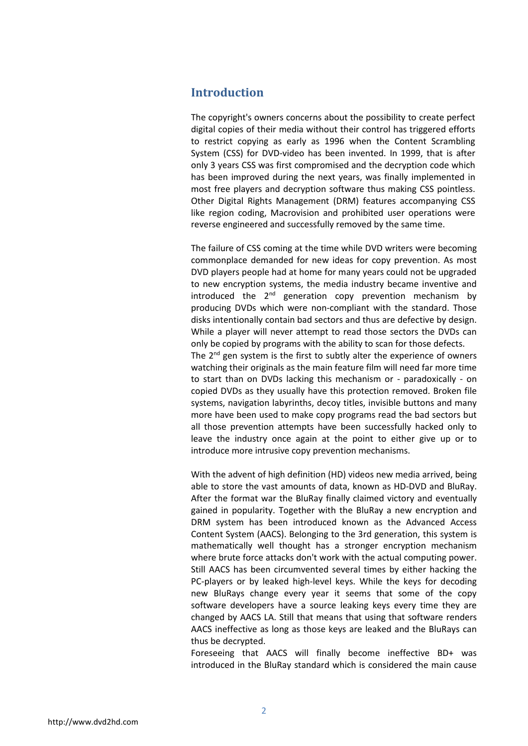## <span id="page-1-0"></span>**Introduction**

The copyright's owners concerns about the possibility to create perfect digital copies of their media without their control has triggered efforts to restrict copying as early as 1996 when the Content Scrambling System (CSS) for DVD-video has been invented. In 1999, that is after only 3 years CSS was first compromised and the decryption code which has been improved during the next years, was finally implemented in most free players and decryption software thus making CSS pointless. Other Digital Rights Management (DRM) features accompanying CSS like region coding, Macrovision and prohibited user operations were reverse engineered and successfully removed by the same time.

The failure of CSS coming at the time while DVD writers were becoming commonplace demanded for new ideas for copy prevention. As most DVD players people had at home for many years could not be upgraded to new encryption systems, the media industry became inventive and introduced the  $2<sup>nd</sup>$  generation copy prevention mechanism by producing DVDs which were non-compliant with the standard. Those disks intentionally contain bad sectors and thus are defective by design. While a player will never attempt to read those sectors the DVDs can only be copied by programs with the ability to scan for those defects. The 2<sup>nd</sup> gen system is the first to subtly alter the experience of owners watching their originals as the main feature film will need far more time to start than on DVDs lacking this mechanism or - paradoxically - on copied DVDs as they usually have this protection removed. Broken file systems, navigation labyrinths, decoy titles, invisible buttons and many more have been used to make copy programs read the bad sectors but all those prevention attempts have been successfully hacked only to leave the industry once again at the point to either give up or to introduce more intrusive copy prevention mechanisms.

With the advent of high definition (HD) videos new media arrived, being able to store the vast amounts of data, known as HD-DVD and BluRay. After the format war the BluRay finally claimed victory and eventually gained in popularity. Together with the BluRay a new encryption and DRM system has been introduced known as the Advanced Access Content System (AACS). Belonging to the 3rd generation, this system is mathematically well thought has a stronger encryption mechanism where brute force attacks don't work with the actual computing power. Still AACS has been circumvented several times by either hacking the PC-players or by leaked high-level keys. While the keys for decoding new BluRays change every year it seems that some of the copy software developers have a source leaking keys every time they are changed by AACS LA. Still that means that using that software renders AACS ineffective as long as those keys are leaked and the BluRays can thus be decrypted.

Foreseeing that AACS will finally become ineffective BD+ was introduced in the BluRay standard which is considered the main cause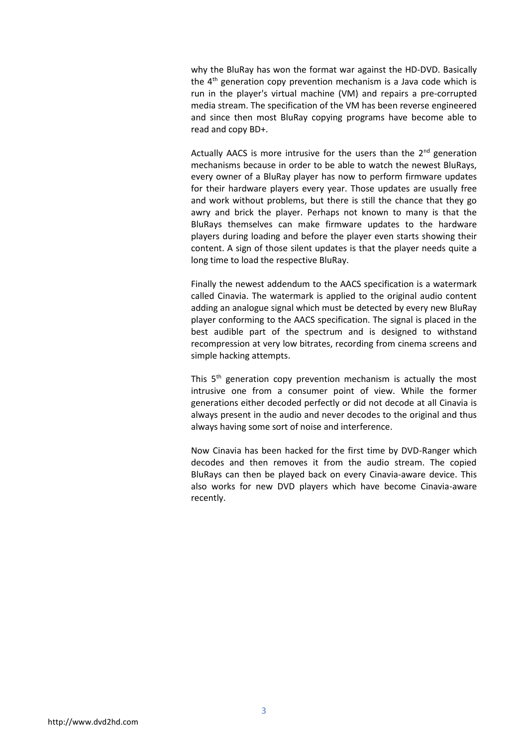why the BluRay has won the format war against the HD-DVD. Basically the  $4<sup>th</sup>$  generation copy prevention mechanism is a Java code which is run in the player's virtual machine (VM) and repairs a pre-corrupted media stream. The specification of the VM has been reverse engineered and since then most BluRay copying programs have become able to read and copy BD+.

Actually AACS is more intrusive for the users than the  $2<sup>nd</sup>$  generation mechanisms because in order to be able to watch the newest BluRays, every owner of a BluRay player has now to perform firmware updates for their hardware players every year. Those updates are usually free and work without problems, but there is still the chance that they go awry and brick the player. Perhaps not known to many is that the BluRays themselves can make firmware updates to the hardware players during loading and before the player even starts showing their content. A sign of those silent updates is that the player needs quite a long time to load the respective BluRay.

Finally the newest addendum to the AACS specification is a watermark called Cinavia. The watermark is applied to the original audio content adding an analogue signal which must be detected by every new BluRay player conforming to the AACS specification. The signal is placed in the best audible part of the spectrum and is designed to withstand recompression at very low bitrates, recording from cinema screens and simple hacking attempts.

This 5<sup>th</sup> generation copy prevention mechanism is actually the most intrusive one from a consumer point of view. While the former generations either decoded perfectly or did not decode at all Cinavia is always present in the audio and never decodes to the original and thus always having some sort of noise and interference.

Now Cinavia has been hacked for the first time by DVD-Ranger which decodes and then removes it from the audio stream. The copied BluRays can then be played back on every Cinavia-aware device. This also works for new DVD players which have become Cinavia-aware recently.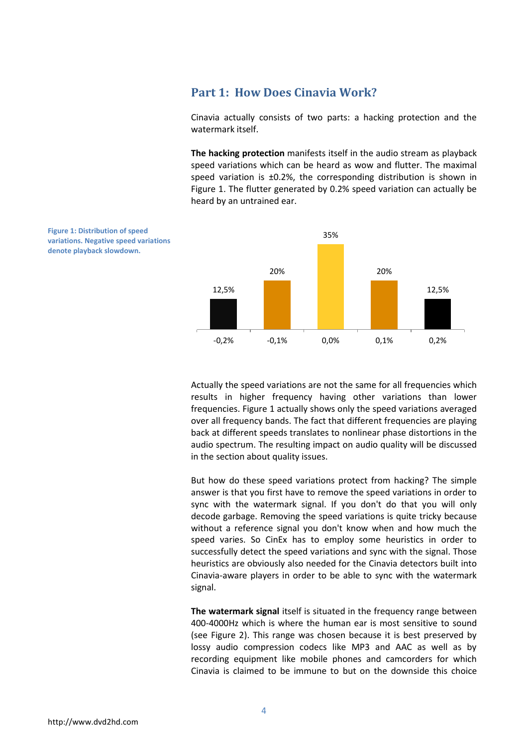## <span id="page-3-0"></span>**Part 1: How Does Cinavia Work?**

Cinavia actually consists of two parts: a hacking protection and the watermark itself.

**The hacking protection** manifests itself in the audio stream as playback speed variations which can be heard as wow and flutter. The maximal speed variation is  $\pm 0.2$ %, the corresponding distribution is shown in Figure 1. The flutter generated by 0.2% speed variation can actually be heard by an untrained ear.



Actually the speed variations are not the same for all frequencies which results in higher frequency having other variations than lower frequencies. Figure 1 actually shows only the speed variations averaged over all frequency bands. The fact that different frequencies are playing back at different speeds translates to nonlinear phase distortions in the audio spectrum. The resulting impact on audio quality will be discussed in the section about quality issues.

But how do these speed variations protect from hacking? The simple answer is that you first have to remove the speed variations in order to sync with the watermark signal. If you don't do that you will only decode garbage. Removing the speed variations is quite tricky because without a reference signal you don't know when and how much the speed varies. So CinEx has to employ some heuristics in order to successfully detect the speed variations and sync with the signal. Those heuristics are obviously also needed for the Cinavia detectors built into Cinavia-aware players in order to be able to sync with the watermark signal.

**The watermark signal** itself is situated in the frequency range between 400-4000Hz which is where the human ear is most sensitive to sound (see Figure 2). This range was chosen because it is best preserved by lossy audio compression codecs like MP3 and AAC as well as by recording equipment like mobile phones and camcorders for which Cinavia is claimed to be immune to but on the downside this choice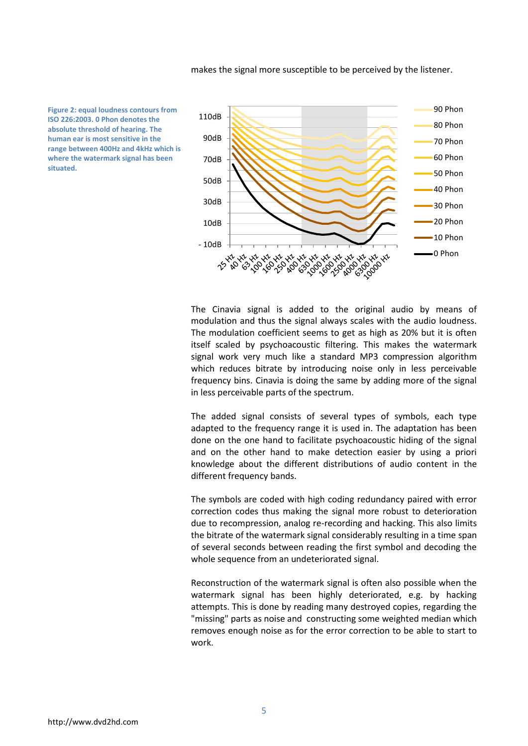makes the signal more susceptible to be perceived by the listener.

**Figure 2: equal loudness contours from ISO 226:2003. 0 Phon denotes the absolute threshold of hearing. The human ear is most sensitive in the range between 400Hz and 4kHz which is where the watermark signal has been situated.**



The Cinavia signal is added to the original audio by means of modulation and thus the signal always scales with the audio loudness. The modulation coefficient seems to get as high as 20% but it is often itself scaled by psychoacoustic filtering. This makes the watermark signal work very much like a standard MP3 compression algorithm which reduces bitrate by introducing noise only in less perceivable frequency bins. Cinavia is doing the same by adding more of the signal in less perceivable parts of the spectrum.

The added signal consists of several types of symbols, each type adapted to the frequency range it is used in. The adaptation has been done on the one hand to facilitate psychoacoustic hiding of the signal and on the other hand to make detection easier by using a priori knowledge about the different distributions of audio content in the different frequency bands.

The symbols are coded with high coding redundancy paired with error correction codes thus making the signal more robust to deterioration due to recompression, analog re-recording and hacking. This also limits the bitrate of the watermark signal considerably resulting in a time span of several seconds between reading the first symbol and decoding the whole sequence from an undeteriorated signal.

Reconstruction of the watermark signal is often also possible when the watermark signal has been highly deteriorated, e.g. by hacking attempts. This is done by reading many destroyed copies, regarding the "missing" parts as noise and constructing some weighted median which removes enough noise as for the error correction to be able to start to work.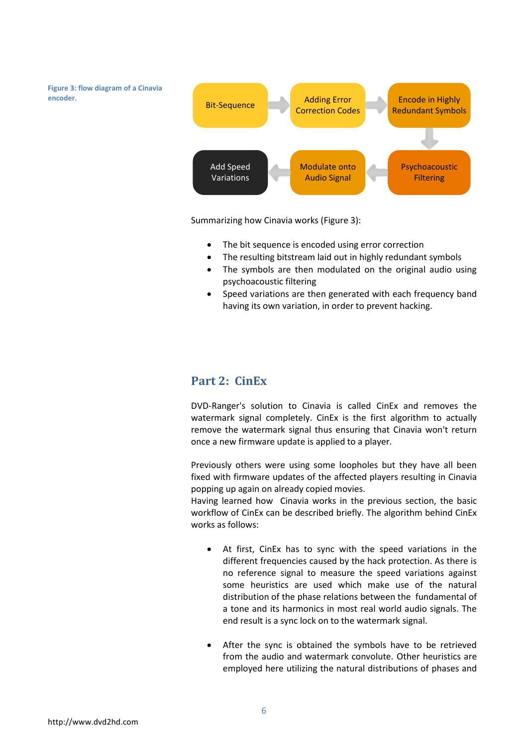**Figure 3: flow diagram of a Cinavia encoder.**



Summarizing how Cinavia works (Figure 3):

- The bit sequence is encoded using error correction
- The resulting bitstream laid out in highly redundant symbols
- The symbols are then modulated on the original audio using psychoacoustic filtering
- Speed variations are then generated with each frequency band having its own variation, in order to prevent hacking.

## <span id="page-5-0"></span>**Part 2: CinEx**

DVD-Ranger's solution to Cinavia is called CinEx and removes the watermark signal completely. CinEx is the first algorithm to actually remove the watermark signal thus ensuring that Cinavia won't return once a new firmware update is applied to a player.

Previously others were using some loopholes but they have all been fixed with firmware updates of the affected players resulting in Cinavia popping up again on already copied movies.

Having learned how Cinavia works in the previous section, the basic workflow of CinEx can be described briefly. The algorithm behind CinEx works as follows:

- At first, CinEx has to sync with the speed variations in the different frequencies caused by the hack protection. As there is no reference signal to measure the speed variations against some heuristics are used which make use of the natural distribution of the phase relations between the fundamental of a tone and its harmonics in most real world audio signals. The end result is a sync lock on to the watermark signal.
- After the sync is obtained the symbols have to be retrieved from the audio and watermark convolute. Other heuristics are employed here utilizing the natural distributions of phases and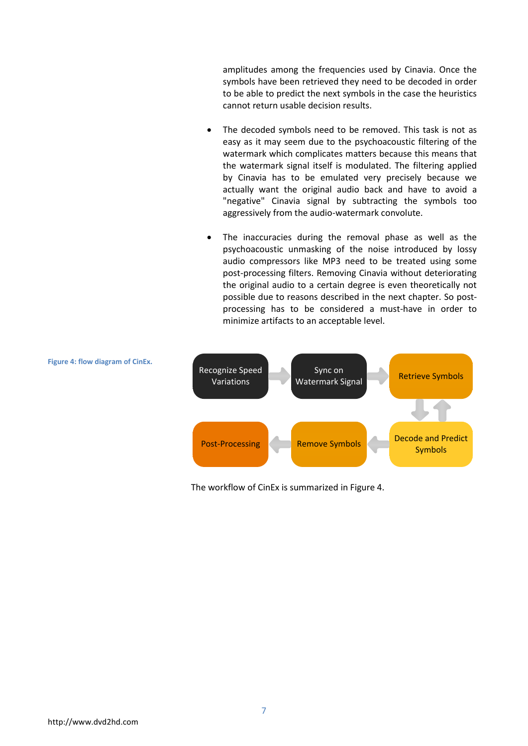amplitudes among the frequencies used by Cinavia. Once the symbols have been retrieved they need to be decoded in order to be able to predict the next symbols in the case the heuristics cannot return usable decision results.

- The decoded symbols need to be removed. This task is not as easy as it may seem due to the psychoacoustic filtering of the watermark which complicates matters because this means that the watermark signal itself is modulated. The filtering applied by Cinavia has to be emulated very precisely because we actually want the original audio back and have to avoid a "negative" Cinavia signal by subtracting the symbols too aggressively from the audio-watermark convolute.
- The inaccuracies during the removal phase as well as the psychoacoustic unmasking of the noise introduced by lossy audio compressors like MP3 need to be treated using some post-processing filters. Removing Cinavia without deteriorating the original audio to a certain degree is even theoretically not possible due to reasons described in the next chapter. So postprocessing has to be considered a must-have in order to minimize artifacts to an acceptable level.



The workflow of CinEx is summarized in Figure 4.

**Figure 4: flow diagram of CinEx.**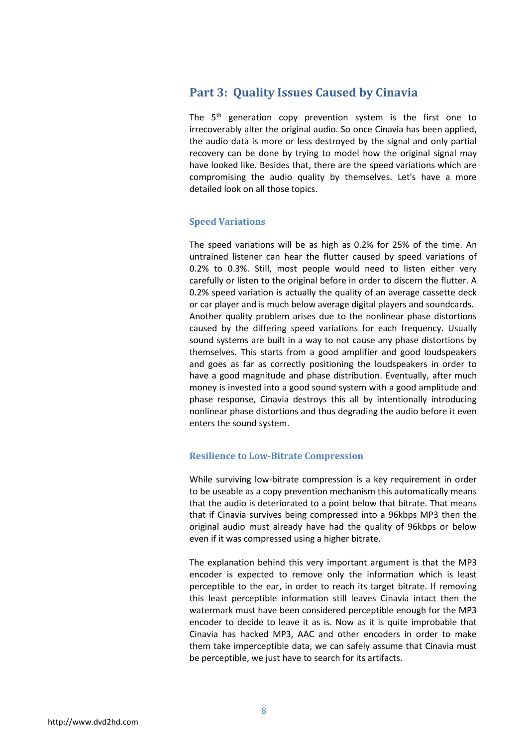## <span id="page-7-0"></span>**Part 3: Quality Issues Caused by Cinavia**

The  $5<sup>th</sup>$  generation copy prevention system is the first one to irrecoverably alter the original audio. So once Cinavia has been applied, the audio data is more or less destroyed by the signal and only partial recovery can be done by trying to model how the original signal may have looked like. Besides that, there are the speed variations which are compromising the audio quality by themselves. Let's have a more detailed look on all those topics.

## <span id="page-7-1"></span>**Speed Variations**

The speed variations will be as high as 0.2% for 25% of the time. An untrained listener can hear the flutter caused by speed variations of 0.2% to 0.3%. Still, most people would need to listen either very carefully or listen to the original before in order to discern the flutter. A 0.2% speed variation is actually the quality of an average cassette deck or car player and is much below average digital players and soundcards. Another quality problem arises due to the nonlinear phase distortions caused by the differing speed variations for each frequency. Usually sound systems are built in a way to not cause any phase distortions by themselves. This starts from a good amplifier and good loudspeakers and goes as far as correctly positioning the loudspeakers in order to have a good magnitude and phase distribution. Eventually, after much money is invested into a good sound system with a good amplitude and phase response, Cinavia destroys this all by intentionally introducing nonlinear phase distortions and thus degrading the audio before it even enters the sound system.

### <span id="page-7-2"></span>**Resilience to Low-Bitrate Compression**

While surviving low-bitrate compression is a key requirement in order to be useable as a copy prevention mechanism this automatically means that the audio is deteriorated to a point below that bitrate. That means that if Cinavia survives being compressed into a 96kbps MP3 then the original audio must already have had the quality of 96kbps or below even if it was compressed using a higher bitrate.

The explanation behind this very important argument is that the MP3 encoder is expected to remove only the information which is least perceptible to the ear, in order to reach its target bitrate. If removing this least perceptible information still leaves Cinavia intact then the watermark must have been considered perceptible enough for the MP3 encoder to decide to leave it as is. Now as it is quite improbable that Cinavia has hacked MP3, AAC and other encoders in order to make them take imperceptible data, we can safely assume that Cinavia must be perceptible, we just have to search for its artifacts.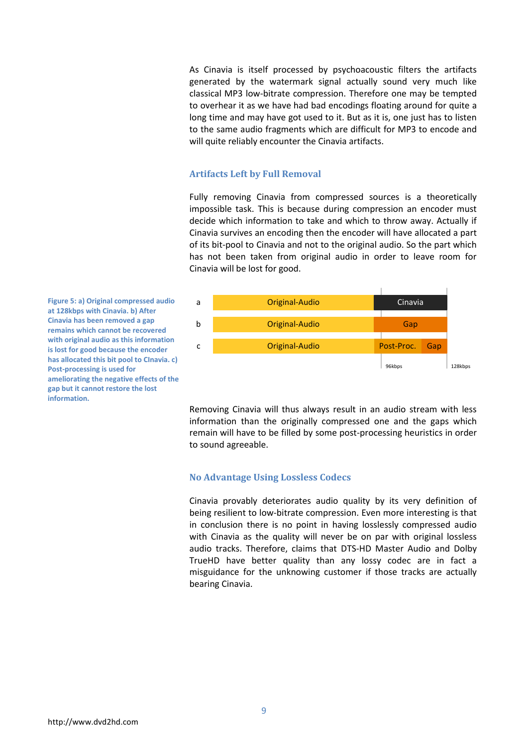As Cinavia is itself processed by psychoacoustic filters the artifacts generated by the watermark signal actually sound very much like classical MP3 low-bitrate compression. Therefore one may be tempted to overhear it as we have had bad encodings floating around for quite a long time and may have got used to it. But as it is, one just has to listen to the same audio fragments which are difficult for MP3 to encode and will quite reliably encounter the Cinavia artifacts.

#### **Artifacts Left by Full Removal**

Fully removing Cinavia from compressed sources is a theoretically impossible task. This is because during compression an encoder must decide which information to take and which to throw away. Actually if Cinavia survives an encoding then the encoder will have allocated a part of its bit-pool to Cinavia and not to the original audio. So the part which has not been taken from original audio in order to leave room for Cinavia will be lost for good.



**Figure 5: a) Original compressed audio at 128kbps with Cinavia. b) After Cinavia has been removed a gap remains which cannot be recovered with original audio as this information is lost for good because the encoder has allocated this bit pool to CInavia. c) Post-processing is used for ameliorating the negative effects of the gap but it cannot restore the lost information.**

> Removing Cinavia will thus always result in an audio stream with less information than the originally compressed one and the gaps which remain will have to be filled by some post-processing heuristics in order to sound agreeable.

#### **No Advantage Using Lossless Codecs**

Cinavia provably deteriorates audio quality by its very definition of being resilient to low-bitrate compression. Even more interesting is that in conclusion there is no point in having losslessly compressed audio with Cinavia as the quality will never be on par with original lossless audio tracks. Therefore, claims that DTS-HD Master Audio and Dolby TrueHD have better quality than any lossy codec are in fact a misguidance for the unknowing customer if those tracks are actually bearing Cinavia.